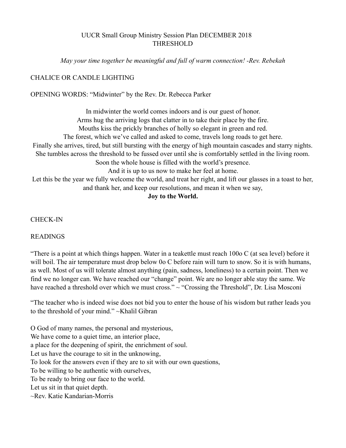## UUCR Small Group Ministry Session Plan DECEMBER 2018 THRESHOLD

*May your time together be meaningful and full of warm connection! -Rev. Rebekah* 

## CHALICE OR CANDLE LIGHTING

### OPENING WORDS: "Midwinter" by the Rev. Dr. Rebecca Parker

In midwinter the world comes indoors and is our guest of honor. Arms hug the arriving logs that clatter in to take their place by the fire. Mouths kiss the prickly branches of holly so elegant in green and red. The forest, which we've called and asked to come, travels long roads to get here. Finally she arrives, tired, but still bursting with the energy of high mountain cascades and starry nights. She tumbles across the threshold to be fussed over until she is comfortably settled in the living room. Soon the whole house is filled with the world's presence. And it is up to us now to make her feel at home. Let this be the year we fully welcome the world, and treat her right, and lift our glasses in a toast to her, and thank her, and keep our resolutions, and mean it when we say,

## **Joy to the World.**

#### CHECK-IN

#### READINGS

"There is a point at which things happen. Water in a teakettle must reach 100o C (at sea level) before it will boil. The air temperature must drop below 0o C before rain will turn to snow. So it is with humans, as well. Most of us will tolerate almost anything (pain, sadness, loneliness) to a certain point. Then we find we no longer can. We have reached our "change" point. We are no longer able stay the same. We have reached a threshold over which we must cross." ~ "Crossing the Threshold", Dr. Lisa Mosconi

"The teacher who is indeed wise does not bid you to enter the house of his wisdom but rather leads you to the threshold of your mind." ~Khalil Gibran

O God of many names, the personal and mysterious, We have come to a quiet time, an interior place, a place for the deepening of spirit, the enrichment of soul. Let us have the courage to sit in the unknowing, To look for the answers even if they are to sit with our own questions, To be willing to be authentic with ourselves, To be ready to bring our face to the world. Let us sit in that quiet depth. ~Rev. Katie Kandarian-Morris